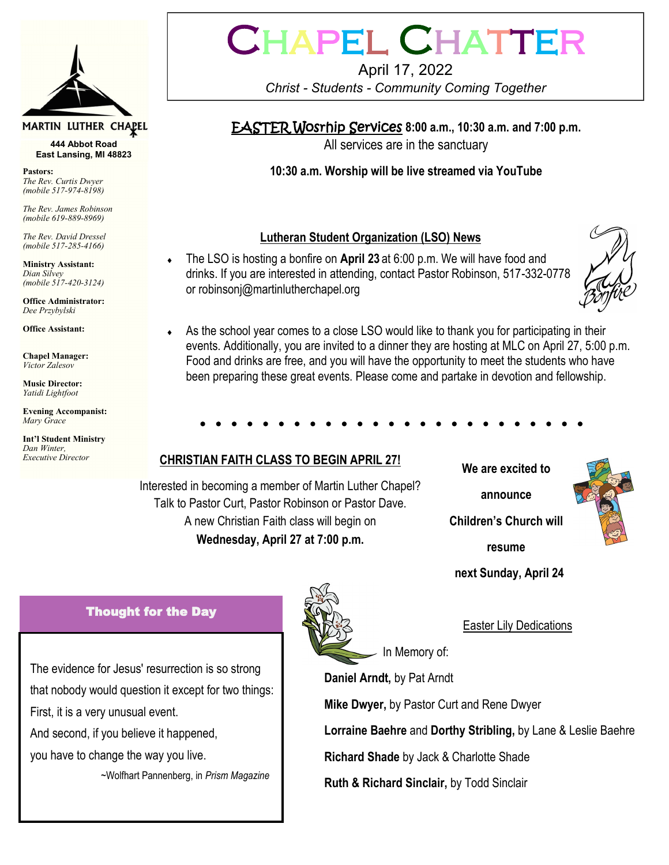

#### MARTIN LUTHER CHAPEL

**444 Abbot Road East Lansing, MI 48823**

*The Rev. Curtis Dwyer (mobile 517-974-8198)*

*The Rev. James Robinson (mobile 619-889-8969)*

*The Rev. David Dressel (mobile 517-285-4166)*

**Ministry Assistant:**  *Dian Silvey (mobile 517-420-3124)*

**Office Administrator:** *Dee Przybylski*

**Office Assistant:**

**Chapel Manager:** *Victor Zalesov*

**Music Director:** *Yatidi Lightfoot* 

**Evening Accompanist:** *Mary Grace*

**Int'l Student Ministry** *Dan Winter, Executive Director*

# CHAPEL CHATTEI

#### April 17, 2022 *Christ - Students - Community Coming Together*

### EASTER Wosrhip Services **8:00 a.m., 10:30 a.m. and 7:00 p.m.**

All services are in the sanctuary

**Pastors: 10:30 a.m. Worship will be live streamed via YouTube**

#### **Lutheran Student Organization (LSO) News**

 The LSO is hosting a bonfire on **April 23** at 6:00 p.m. We will have food and drinks. If you are interested in attending, contact Pastor Robinson, 517-332-0778 or robinsonj@martinlutherchapel.org



 As the school year comes to a close LSO would like to thank you for participating in their events. Additionally, you are invited to a dinner they are hosting at MLC on April 27, 5:00 p.m. Food and drinks are free, and you will have the opportunity to meet the students who have been preparing these great events. Please come and partake in devotion and fellowship.

#### **CHRISTIAN FAITH CLASS TO BEGIN APRIL 27!**

Interested in becoming a member of Martin Luther Chapel? Talk to Pastor Curt, Pastor Robinson or Pastor Dave. A new Christian Faith class will begin on **Wednesday, April 27 at 7:00 p.m.**

**We are excited to announce Children's Church will resume** 

 **next Sunday, April 24** 



#### Easter Lily Dedications

In Memory of:

**Daniel Arndt,** by Pat Arndt

**Mike Dwyer,** by Pastor Curt and Rene Dwyer

**Lorraine Baehre** and **Dorthy Stribling,** by Lane & Leslie Baehre

**Richard Shade** by Jack & Charlotte Shade

**Ruth & Richard Sinclair,** by Todd Sinclair

#### Thought for the Day

The evidence for Jesus' resurrection is so strong that nobody would question it except for two things: First, it is a very unusual event.

And second, if you believe it happened,

you have to change the way you live.

~Wolfhart Pannenberg, in *Prism Magazine*